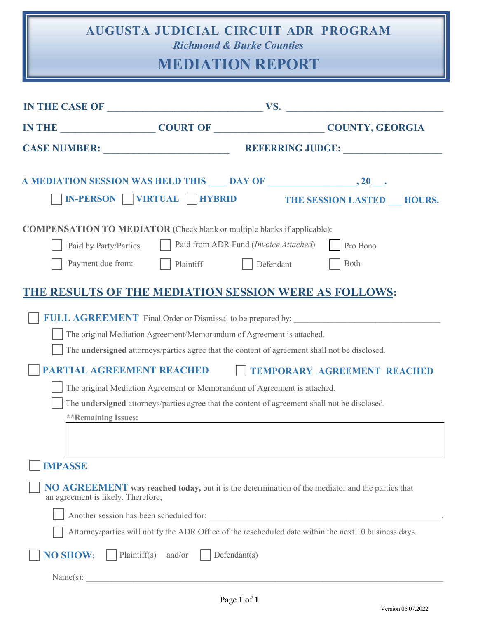## **AUGUSTA JUDICIAL CIRCUIT ADR PROGRAM** *Richmond & Burke Counties*

## **MEDIATION REPORT**

| IN THE CASE OF $_{\_}$ VS.                                                      |                                                                                                      |                                                |                                                                                                         |
|---------------------------------------------------------------------------------|------------------------------------------------------------------------------------------------------|------------------------------------------------|---------------------------------------------------------------------------------------------------------|
| IN THE COURT OF COURT OF COUNTY, GEORGIA                                        |                                                                                                      |                                                |                                                                                                         |
|                                                                                 |                                                                                                      |                                                |                                                                                                         |
|                                                                                 |                                                                                                      |                                                |                                                                                                         |
|                                                                                 | <b>N-PERSON WIRTUAL HYBRID</b>                                                                       |                                                | THE SESSION LASTED HOURS.                                                                               |
| <b>COMPENSATION TO MEDIATOR</b> (Check blank or multiple blanks if applicable): |                                                                                                      |                                                |                                                                                                         |
| Paid by Party/Parties                                                           |                                                                                                      | Paid from ADR Fund ( <i>Invoice Attached</i> ) | Pro Bono                                                                                                |
| Payment due from:                                                               | Plaintiff Defendant                                                                                  |                                                | Both                                                                                                    |
| THE RESULTS OF THE MEDIATION SESSION WERE AS FOLLOWS:                           |                                                                                                      |                                                |                                                                                                         |
|                                                                                 |                                                                                                      |                                                |                                                                                                         |
|                                                                                 |                                                                                                      |                                                |                                                                                                         |
|                                                                                 | The original Mediation Agreement/Memorandum of Agreement is attached.                                |                                                |                                                                                                         |
|                                                                                 | The undersigned attorneys/parties agree that the content of agreement shall not be disclosed.        |                                                |                                                                                                         |
| PARTIAL AGREEMENT REACHED                                                       |                                                                                                      |                                                | TEMPORARY AGREEMENT REACHED                                                                             |
|                                                                                 | The original Mediation Agreement or Memorandum of Agreement is attached.                             |                                                |                                                                                                         |
|                                                                                 | The <b>undersigned</b> attorneys/parties agree that the content of agreement shall not be disclosed. |                                                |                                                                                                         |
| <b>**Remaining Issues:</b>                                                      |                                                                                                      |                                                |                                                                                                         |
|                                                                                 |                                                                                                      |                                                |                                                                                                         |
| <b>IMPASSE</b>                                                                  |                                                                                                      |                                                |                                                                                                         |
|                                                                                 |                                                                                                      |                                                |                                                                                                         |
| an agreement is likely. Therefore,                                              |                                                                                                      |                                                | <b>NO AGREEMENT</b> was reached today, but it is the determination of the mediator and the parties that |
| Another session has been scheduled for:                                         |                                                                                                      |                                                |                                                                                                         |
|                                                                                 |                                                                                                      |                                                | Attorney/parties will notify the ADR Office of the rescheduled date within the next 10 business days.   |
| <b>NO SHOW:</b>                                                                 | Plaintiff(s) and/or<br>Defendant(s)                                                                  |                                                |                                                                                                         |
| Name(s):                                                                        |                                                                                                      |                                                |                                                                                                         |